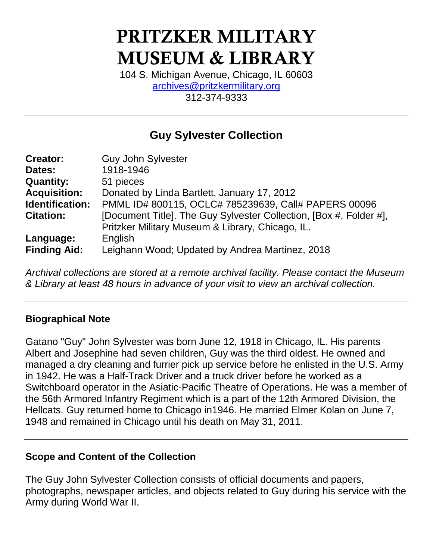# PRITZKER MILITARY MUSEUM & LIBRARY

104 S. Michigan Avenue, Chicago, IL 60603 [archives@pritzkermilitary.org](mailto:archives@pritzkermilitary.org) 312-374-9333

## **Guy Sylvester Collection**

| <b>Creator:</b>     | <b>Guy John Sylvester</b>                                          |
|---------------------|--------------------------------------------------------------------|
| Dates:              | 1918-1946                                                          |
| <b>Quantity:</b>    | 51 pieces                                                          |
| <b>Acquisition:</b> | Donated by Linda Bartlett, January 17, 2012                        |
| Identification:     | PMML ID# 800115, OCLC# 785239639, Call# PAPERS 00096               |
| <b>Citation:</b>    | [Document Title]. The Guy Sylvester Collection, [Box #, Folder #], |
|                     | Pritzker Military Museum & Library, Chicago, IL.                   |
| Language:           | English                                                            |
| <b>Finding Aid:</b> | Leighann Wood; Updated by Andrea Martinez, 2018                    |

*Archival collections are stored at a remote archival facility. Please contact the Museum & Library at least 48 hours in advance of your visit to view an archival collection.*

#### **Biographical Note**

Gatano "Guy" John Sylvester was born June 12, 1918 in Chicago, IL. His parents Albert and Josephine had seven children, Guy was the third oldest. He owned and managed a dry cleaning and furrier pick up service before he enlisted in the U.S. Army in 1942. He was a Half-Track Driver and a truck driver before he worked as a Switchboard operator in the Asiatic-Pacific Theatre of Operations. He was a member of the 56th Armored Infantry Regiment which is a part of the 12th Armored Division, the Hellcats. Guy returned home to Chicago in1946. He married Elmer Kolan on June 7, 1948 and remained in Chicago until his death on May 31, 2011.

#### **Scope and Content of the Collection**

The Guy John Sylvester Collection consists of official documents and papers, photographs, newspaper articles, and objects related to Guy during his service with the Army during World War II.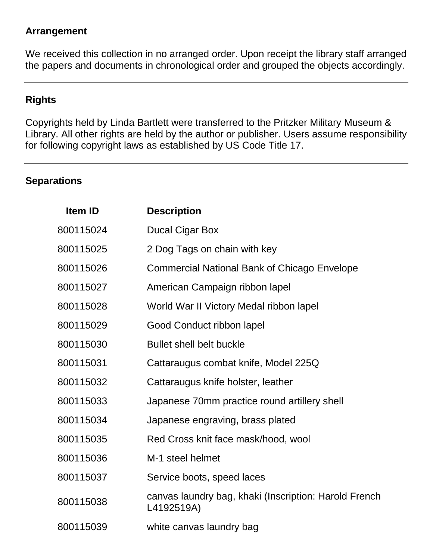#### **Arrangement**

We received this collection in no arranged order. Upon receipt the library staff arranged the papers and documents in chronological order and grouped the objects accordingly.

#### **Rights**

Copyrights held by Linda Bartlett were transferred to the Pritzker Military Museum & Library. All other rights are held by the author or publisher. Users assume responsibility for following copyright laws as established by US Code Title 17.

#### **Separations**

| <b>Item ID</b> | <b>Description</b>                                                  |
|----------------|---------------------------------------------------------------------|
| 800115024      | <b>Ducal Cigar Box</b>                                              |
| 800115025      | 2 Dog Tags on chain with key                                        |
| 800115026      | <b>Commercial National Bank of Chicago Envelope</b>                 |
| 800115027      | American Campaign ribbon lapel                                      |
| 800115028      | World War II Victory Medal ribbon lapel                             |
| 800115029      | Good Conduct ribbon lapel                                           |
| 800115030      | <b>Bullet shell belt buckle</b>                                     |
| 800115031      | Cattaraugus combat knife, Model 225Q                                |
| 800115032      | Cattaraugus knife holster, leather                                  |
| 800115033      | Japanese 70mm practice round artillery shell                        |
| 800115034      | Japanese engraving, brass plated                                    |
| 800115035      | Red Cross knit face mask/hood, wool                                 |
| 800115036      | M-1 steel helmet                                                    |
| 800115037      | Service boots, speed laces                                          |
| 800115038      | canvas laundry bag, khaki (Inscription: Harold French<br>L4192519A) |
| 800115039      | white canvas laundry bag                                            |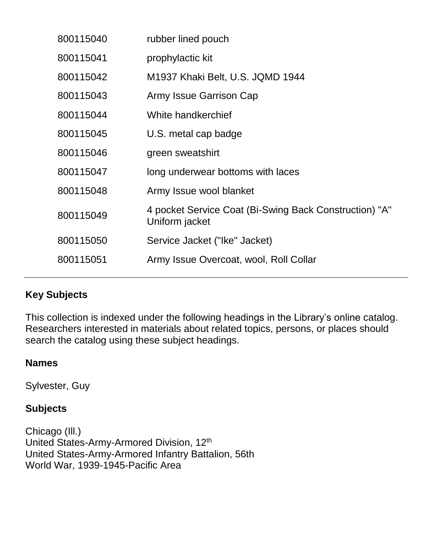| 800115040 | rubber lined pouch                                                       |
|-----------|--------------------------------------------------------------------------|
| 800115041 | prophylactic kit                                                         |
| 800115042 | M1937 Khaki Belt, U.S. JQMD 1944                                         |
| 800115043 | Army Issue Garrison Cap                                                  |
| 800115044 | White handkerchief                                                       |
| 800115045 | U.S. metal cap badge                                                     |
| 800115046 | green sweatshirt                                                         |
| 800115047 | long underwear bottoms with laces                                        |
| 800115048 | Army Issue wool blanket                                                  |
| 800115049 | 4 pocket Service Coat (Bi-Swing Back Construction) "A"<br>Uniform jacket |
| 800115050 | Service Jacket ("Ike" Jacket)                                            |
| 800115051 | Army Issue Overcoat, wool, Roll Collar                                   |

### **Key Subjects**

This collection is indexed under the following headings in the Library's online catalog. Researchers interested in materials about related topics, persons, or places should search the catalog using these subject headings.

#### **Names**

Sylvester, Guy

#### **Subjects**

Chicago (Ill.) United States-Army-Armored Division, 12<sup>th</sup> United States-Army-Armored Infantry Battalion, 56th World War, 1939-1945-Pacific Area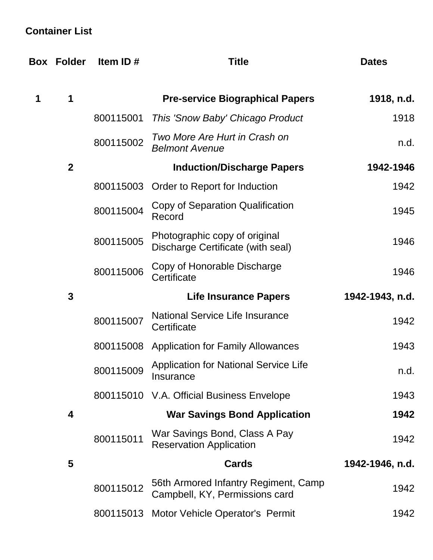## **Container List**

|                  | <b>Box Folder</b> | Item ID#  | <b>Title</b>                                                           | <b>Dates</b>    |
|------------------|-------------------|-----------|------------------------------------------------------------------------|-----------------|
| 1                | 1                 |           | <b>Pre-service Biographical Papers</b>                                 | 1918, n.d.      |
|                  |                   | 800115001 | This 'Snow Baby' Chicago Product                                       | 1918            |
|                  |                   | 800115002 | Two More Are Hurt in Crash on<br><b>Belmont Avenue</b>                 | n.d.            |
| $\boldsymbol{2}$ |                   |           | <b>Induction/Discharge Papers</b>                                      | 1942-1946       |
|                  |                   | 800115003 | Order to Report for Induction                                          | 1942            |
|                  |                   | 800115004 | Copy of Separation Qualification<br>Record                             | 1945            |
|                  |                   | 800115005 | Photographic copy of original<br>Discharge Certificate (with seal)     | 1946            |
|                  |                   | 800115006 | Copy of Honorable Discharge<br>Certificate                             | 1946            |
|                  | $\mathbf{3}$      |           | <b>Life Insurance Papers</b>                                           | 1942-1943, n.d. |
|                  |                   | 800115007 | <b>National Service Life Insurance</b><br>Certificate                  | 1942            |
|                  |                   | 800115008 | <b>Application for Family Allowances</b>                               | 1943            |
|                  |                   | 800115009 | <b>Application for National Service Life</b><br>Insurance              | n.d.            |
|                  |                   |           | 800115010 V.A. Official Business Envelope                              | 1943            |
|                  | 4                 |           | <b>War Savings Bond Application</b>                                    | 1942            |
|                  |                   | 800115011 | War Savings Bond, Class A Pay<br><b>Reservation Application</b>        | 1942            |
|                  | 5                 |           | <b>Cards</b>                                                           | 1942-1946, n.d. |
|                  |                   | 800115012 | 56th Armored Infantry Regiment, Camp<br>Campbell, KY, Permissions card | 1942            |
|                  |                   |           | 800115013 Motor Vehicle Operator's Permit                              | 1942            |